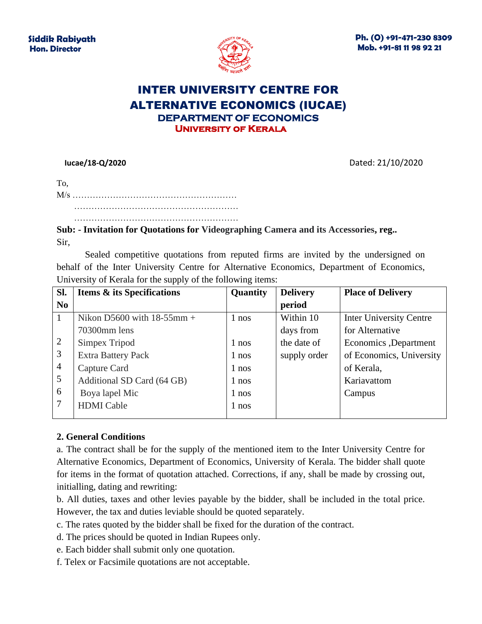

**Ph. (O) +91-471-230 8309 Mob. +91-81 11 98 92 21**

# INTER UNIVERSITY CENTRE FOR ALTERNATIVE ECONOMICS (IUCAE) **DEPARTMENT OF ECONOMICS University of Kerala**

 **Iucae/18-Q/2020** Dated: 21/10/2020

…………………………………………………

**Sub: - Invitation for Quotations for Videographing Camera and its Accessories, reg..** Sir,

Sealed competitive quotations from reputed firms are invited by the undersigned on behalf of the Inter University Centre for Alternative Economics, Department of Economics, University of Kerala for the supply of the following items:

| Sl.             | <b>Items &amp; its Specifications</b> | Quantity | <b>Delivery</b> | <b>Place of Delivery</b>       |
|-----------------|---------------------------------------|----------|-----------------|--------------------------------|
| N <sub>0</sub>  |                                       |          | period          |                                |
| $\overline{1}$  | Nikon D5600 with $18-55$ mm +         | 1 nos    | Within 10       | <b>Inter University Centre</b> |
|                 | 70300mm lens                          |          | days from       | for Alternative                |
| 2               | Simpex Tripod                         | $1$ nos  | the date of     | Economics , Department         |
| $\overline{3}$  | <b>Extra Battery Pack</b>             | 1 nos    | supply order    | of Economics, University       |
| $\overline{4}$  | Capture Card                          | $1$ nos  |                 | of Kerala,                     |
| $5\overline{)}$ | Additional SD Card (64 GB)            | $1$ nos  |                 | Kariavattom                    |
| 6               | Boya lapel Mic                        | 1 nos    |                 | Campus                         |
| 7               | <b>HDMI</b> Cable                     | 1 nos    |                 |                                |

#### **2. General Conditions**

a. The contract shall be for the supply of the mentioned item to the Inter University Centre for Alternative Economics, Department of Economics, University of Kerala. The bidder shall quote for items in the format of quotation attached. Corrections, if any, shall be made by crossing out, initialling, dating and rewriting:

b. All duties, taxes and other levies payable by the bidder, shall be included in the total price. However, the tax and duties leviable should be quoted separately.

c. The rates quoted by the bidder shall be fixed for the duration of the contract.

d. The prices should be quoted in Indian Rupees only.

e. Each bidder shall submit only one quotation.

f. Telex or Facsimile quotations are not acceptable.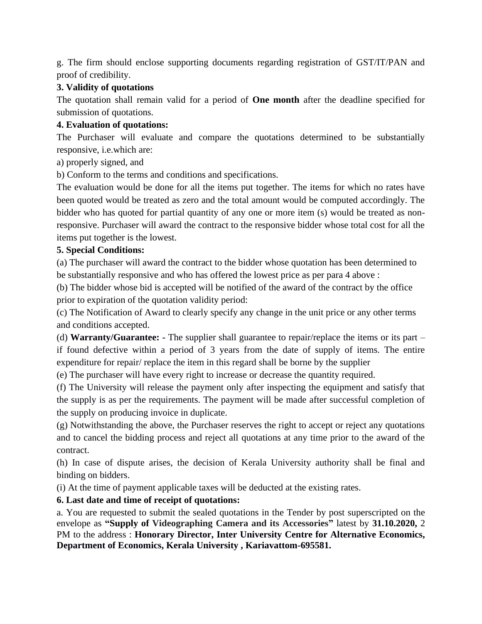g. The firm should enclose supporting documents regarding registration of GST/IT/PAN and proof of credibility.

## **3. Validity of quotations**

The quotation shall remain valid for a period of **One month** after the deadline specified for submission of quotations.

## **4. Evaluation of quotations:**

The Purchaser will evaluate and compare the quotations determined to be substantially responsive, i.e.which are:

a) properly signed, and

b) Conform to the terms and conditions and specifications.

The evaluation would be done for all the items put together. The items for which no rates have been quoted would be treated as zero and the total amount would be computed accordingly. The bidder who has quoted for partial quantity of any one or more item (s) would be treated as nonresponsive. Purchaser will award the contract to the responsive bidder whose total cost for all the items put together is the lowest.

### **5. Special Conditions:**

(a) The purchaser will award the contract to the bidder whose quotation has been determined to be substantially responsive and who has offered the lowest price as per para 4 above :

(b) The bidder whose bid is accepted will be notified of the award of the contract by the office prior to expiration of the quotation validity period:

(c) The Notification of Award to clearly specify any change in the unit price or any other terms and conditions accepted.

(d) **Warranty/Guarantee: -** The supplier shall guarantee to repair/replace the items or its part – if found defective within a period of 3 years from the date of supply of items. The entire expenditure for repair/ replace the item in this regard shall be borne by the supplier

(e) The purchaser will have every right to increase or decrease the quantity required.

(f) The University will release the payment only after inspecting the equipment and satisfy that the supply is as per the requirements. The payment will be made after successful completion of the supply on producing invoice in duplicate.

(g) Notwithstanding the above, the Purchaser reserves the right to accept or reject any quotations and to cancel the bidding process and reject all quotations at any time prior to the award of the contract.

(h) In case of dispute arises, the decision of Kerala University authority shall be final and binding on bidders.

(i) At the time of payment applicable taxes will be deducted at the existing rates.

## **6. Last date and time of receipt of quotations:**

a. You are requested to submit the sealed quotations in the Tender by post superscripted on the envelope as **"Supply of Videographing Camera and its Accessories"** latest by **31.10.2020,** 2 PM to the address : **Honorary Director, Inter University Centre for Alternative Economics, Department of Economics, Kerala University , Kariavattom-695581.**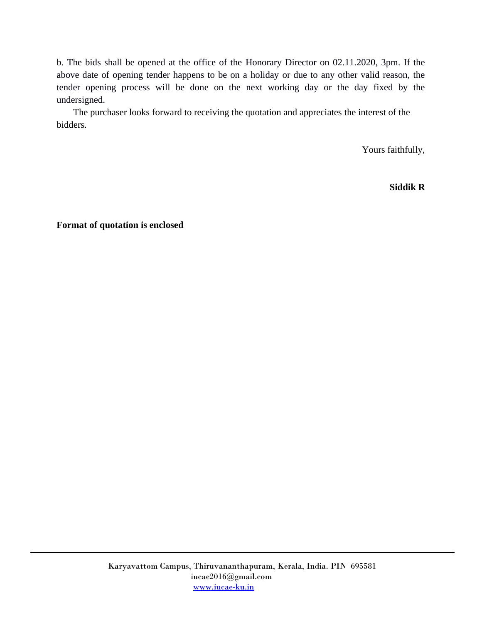b. The bids shall be opened at the office of the Honorary Director on 02.11.2020, 3pm. If the above date of opening tender happens to be on a holiday or due to any other valid reason, the tender opening process will be done on the next working day or the day fixed by the undersigned.

 The purchaser looks forward to receiving the quotation and appreciates the interest of the bidders.

Yours faithfully,

**Siddik R**

**Format of quotation is enclosed**